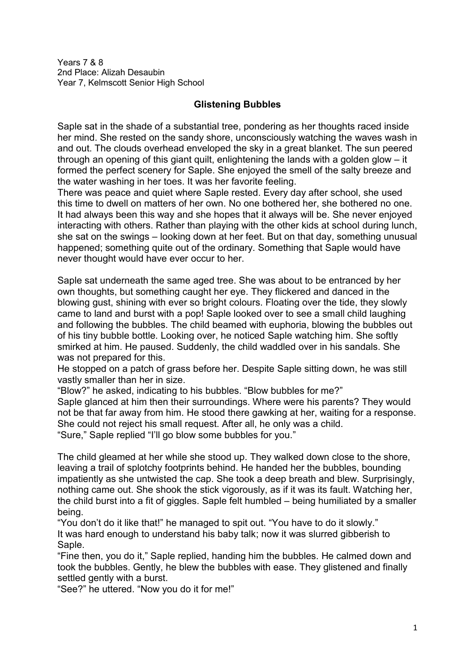Years 7 & 8 2nd Place: Alizah Desaubin Year 7, Kelmscott Senior High School

## **Glistening Bubbles**

Saple sat in the shade of a substantial tree, pondering as her thoughts raced inside her mind. She rested on the sandy shore, unconsciously watching the waves wash in and out. The clouds overhead enveloped the sky in a great blanket. The sun peered through an opening of this giant quilt, enlightening the lands with a golden glow – it formed the perfect scenery for Saple. She enjoyed the smell of the salty breeze and the water washing in her toes. It was her favorite feeling.

There was peace and quiet where Saple rested. Every day after school, she used this time to dwell on matters of her own. No one bothered her, she bothered no one. It had always been this way and she hopes that it always will be. She never enjoyed interacting with others. Rather than playing with the other kids at school during lunch, she sat on the swings – looking down at her feet. But on that day, something unusual happened; something quite out of the ordinary. Something that Saple would have never thought would have ever occur to her.

Saple sat underneath the same aged tree. She was about to be entranced by her own thoughts, but something caught her eye. They flickered and danced in the blowing gust, shining with ever so bright colours. Floating over the tide, they slowly came to land and burst with a pop! Saple looked over to see a small child laughing and following the bubbles. The child beamed with euphoria, blowing the bubbles out of his tiny bubble bottle. Looking over, he noticed Saple watching him. She softly smirked at him. He paused. Suddenly, the child waddled over in his sandals. She was not prepared for this.

He stopped on a patch of grass before her. Despite Saple sitting down, he was still vastly smaller than her in size.

"Blow?" he asked, indicating to his bubbles. "Blow bubbles for me?" Saple glanced at him then their surroundings. Where were his parents? They would not be that far away from him. He stood there gawking at her, waiting for a response. She could not reject his small request. After all, he only was a child. "Sure," Saple replied "I'll go blow some bubbles for you."

The child gleamed at her while she stood up. They walked down close to the shore, leaving a trail of splotchy footprints behind. He handed her the bubbles, bounding impatiently as she untwisted the cap. She took a deep breath and blew. Surprisingly, nothing came out. She shook the stick vigorously, as if it was its fault. Watching her, the child burst into a fit of giggles. Saple felt humbled – being humiliated by a smaller being.

"You don't do it like that!" he managed to spit out. "You have to do it slowly." It was hard enough to understand his baby talk; now it was slurred gibberish to Saple.

"Fine then, you do it," Saple replied, handing him the bubbles. He calmed down and took the bubbles. Gently, he blew the bubbles with ease. They glistened and finally settled gently with a burst.

"See?" he uttered. "Now you do it for me!"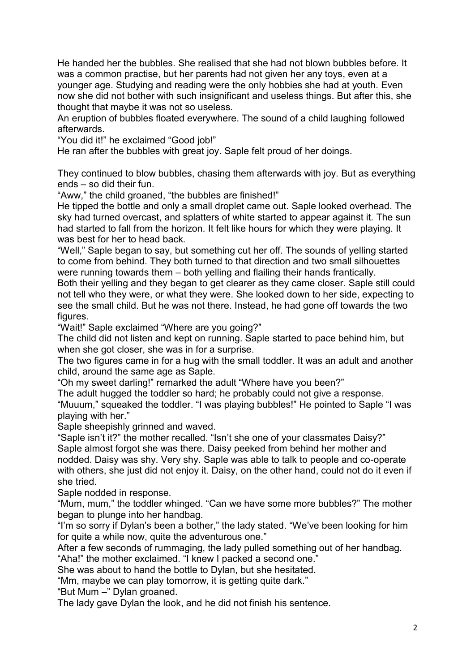He handed her the bubbles. She realised that she had not blown bubbles before. It was a common practise, but her parents had not given her any toys, even at a younger age. Studying and reading were the only hobbies she had at youth. Even now she did not bother with such insignificant and useless things. But after this, she thought that maybe it was not so useless.

An eruption of bubbles floated everywhere. The sound of a child laughing followed afterwards.

"You did it!" he exclaimed "Good job!"

He ran after the bubbles with great joy. Saple felt proud of her doings.

They continued to blow bubbles, chasing them afterwards with joy. But as everything ends – so did their fun.

"Aww," the child groaned, "the bubbles are finished!"

He tipped the bottle and only a small droplet came out. Saple looked overhead. The sky had turned overcast, and splatters of white started to appear against it. The sun had started to fall from the horizon. It felt like hours for which they were playing. It was best for her to head back.

"Well," Saple began to say, but something cut her off. The sounds of yelling started to come from behind. They both turned to that direction and two small silhouettes were running towards them – both yelling and flailing their hands frantically.

Both their yelling and they began to get clearer as they came closer. Saple still could not tell who they were, or what they were. She looked down to her side, expecting to see the small child. But he was not there. Instead, he had gone off towards the two figures.

"Wait!" Saple exclaimed "Where are you going?"

The child did not listen and kept on running. Saple started to pace behind him, but when she got closer, she was in for a surprise.

The two figures came in for a hug with the small toddler. It was an adult and another child, around the same age as Saple.

"Oh my sweet darling!" remarked the adult "Where have you been?"

The adult hugged the toddler so hard; he probably could not give a response.

"Muuum," squeaked the toddler. "I was playing bubbles!" He pointed to Saple "I was playing with her."

Saple sheepishly grinned and waved.

"Saple isn't it?" the mother recalled. "Isn't she one of your classmates Daisy?" Saple almost forgot she was there. Daisy peeked from behind her mother and nodded. Daisy was shy. Very shy. Saple was able to talk to people and co-operate with others, she just did not enjoy it. Daisy, on the other hand, could not do it even if she tried.

Saple nodded in response.

"Mum, mum," the toddler whinged. "Can we have some more bubbles?" The mother began to plunge into her handbag.

"I'm so sorry if Dylan's been a bother," the lady stated. "We've been looking for him for quite a while now, quite the adventurous one."

After a few seconds of rummaging, the lady pulled something out of her handbag. "Aha!" the mother exclaimed. "I knew I packed a second one."

She was about to hand the bottle to Dylan, but she hesitated.

"Mm, maybe we can play tomorrow, it is getting quite dark."

"But Mum –" Dylan groaned.

The lady gave Dylan the look, and he did not finish his sentence.